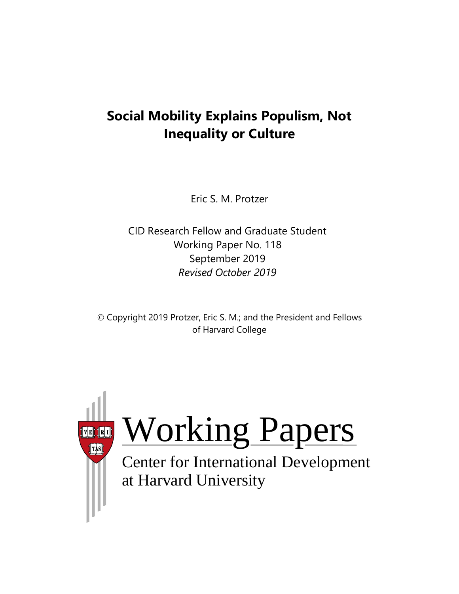# **Social Mobility Explains Populism, Not Inequality or Culture**

Eric S. M. Protzer

CID Research Fellow and Graduate Student Working Paper No. 118 September 2019 *Revised October 2019*

© Copyright 2019 Protzer, Eric S. M.; and the President and Fellows of Harvard College

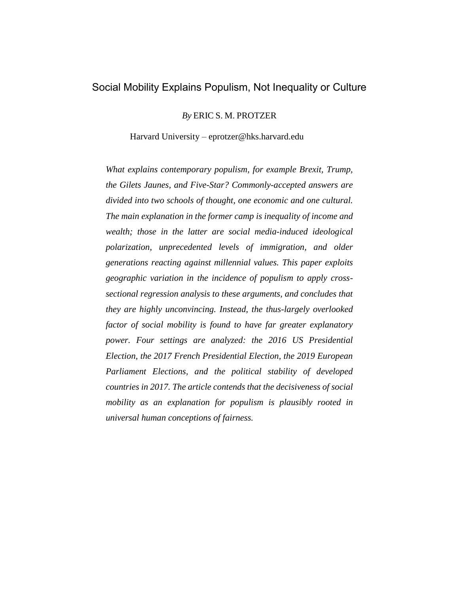### Social Mobility Explains Populism, Not Inequality or Culture

*By* ERIC S. M. PROTZER

Harvard University – eprotzer@hks.harvard.edu

*What explains contemporary populism, for example Brexit, Trump, the Gilets Jaunes, and Five-Star? Commonly-accepted answers are divided into two schools of thought, one economic and one cultural. The main explanation in the former camp is inequality of income and wealth; those in the latter are social media-induced ideological polarization, unprecedented levels of immigration, and older generations reacting against millennial values. This paper exploits geographic variation in the incidence of populism to apply crosssectional regression analysis to these arguments, and concludes that they are highly unconvincing. Instead, the thus-largely overlooked factor of social mobility is found to have far greater explanatory power. Four settings are analyzed: the 2016 US Presidential Election, the 2017 French Presidential Election, the 2019 European Parliament Elections, and the political stability of developed countries in 2017. The article contends that the decisiveness of social mobility as an explanation for populism is plausibly rooted in universal human conceptions of fairness.*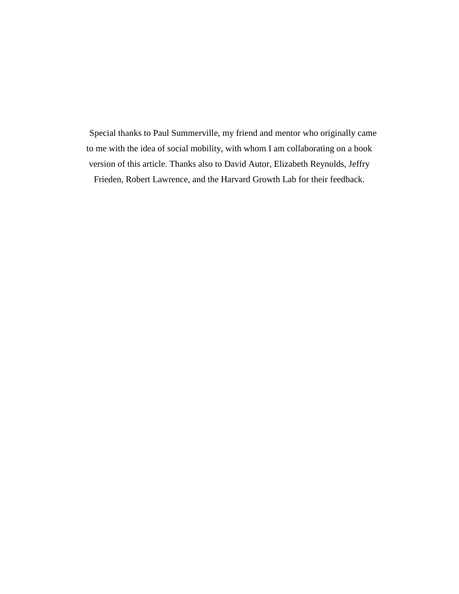Special thanks to Paul Summerville, my friend and mentor who originally came to me with the idea of social mobility, with whom I am collaborating on a book version of this article. Thanks also to David Autor, Elizabeth Reynolds, Jeffry Frieden, Robert Lawrence, and the Harvard Growth Lab for their feedback.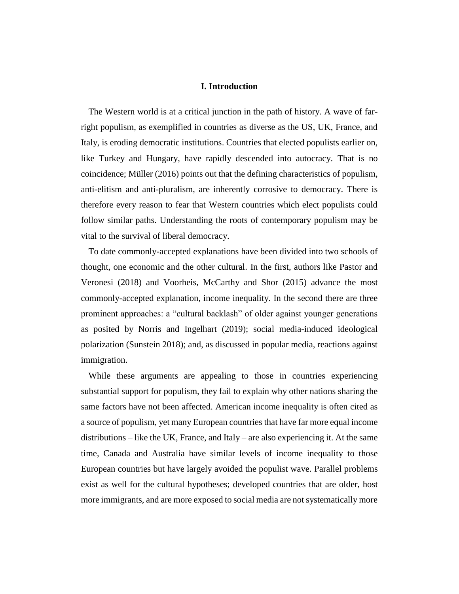#### **I. Introduction**

The Western world is at a critical junction in the path of history. A wave of farright populism, as exemplified in countries as diverse as the US, UK, France, and Italy, is eroding democratic institutions. Countries that elected populists earlier on, like Turkey and Hungary, have rapidly descended into autocracy. That is no coincidence; Müller (2016) points out that the defining characteristics of populism, anti-elitism and anti-pluralism, are inherently corrosive to democracy. There is therefore every reason to fear that Western countries which elect populists could follow similar paths. Understanding the roots of contemporary populism may be vital to the survival of liberal democracy.

To date commonly-accepted explanations have been divided into two schools of thought, one economic and the other cultural. In the first, authors like Pastor and Veronesi (2018) and Voorheis, McCarthy and Shor (2015) advance the most commonly-accepted explanation, income inequality. In the second there are three prominent approaches: a "cultural backlash" of older against younger generations as posited by Norris and Ingelhart (2019); social media-induced ideological polarization (Sunstein 2018); and, as discussed in popular media, reactions against immigration.

While these arguments are appealing to those in countries experiencing substantial support for populism, they fail to explain why other nations sharing the same factors have not been affected. American income inequality is often cited as a source of populism, yet many European countries that have far more equal income distributions – like the UK, France, and Italy – are also experiencing it. At the same time, Canada and Australia have similar levels of income inequality to those European countries but have largely avoided the populist wave. Parallel problems exist as well for the cultural hypotheses; developed countries that are older, host more immigrants, and are more exposed to social media are not systematically more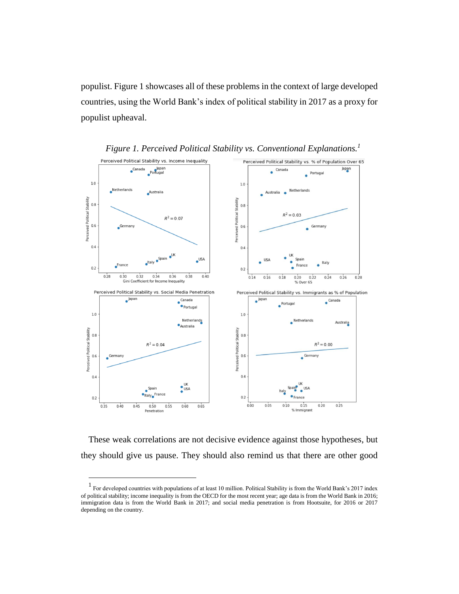populist. Figure 1 showcases all of these problems in the context of large developed countries, using the World Bank's index of political stability in 2017 as a proxy for populist upheaval.





These weak correlations are not decisive evidence against those hypotheses, but they should give us pause. They should also remind us that there are other good

 $\overline{a}$ 

<sup>&</sup>lt;sup>1</sup> For developed countries with populations of at least 10 million. Political Stability is from the World Bank's 2017 index of political stability; income inequality is from the OECD for the most recent year; age data is from the World Bank in 2016; immigration data is from the World Bank in 2017; and social media penetration is from Hootsuite, for 2016 or 2017 depending on the country.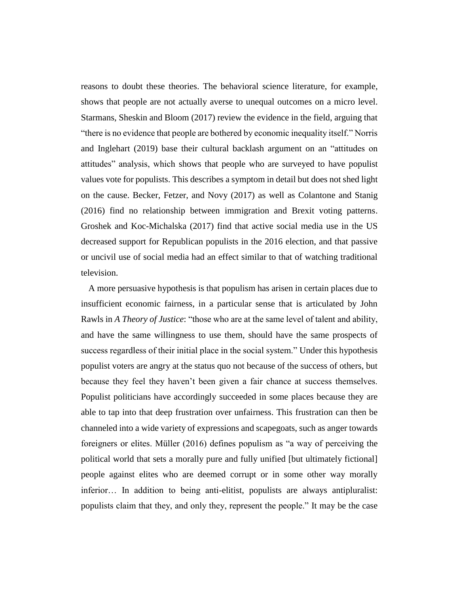reasons to doubt these theories. The behavioral science literature, for example, shows that people are not actually averse to unequal outcomes on a micro level. Starmans, Sheskin and Bloom (2017) review the evidence in the field, arguing that "there is no evidence that people are bothered by economic inequality itself." Norris and Inglehart (2019) base their cultural backlash argument on an "attitudes on attitudes" analysis, which shows that people who are surveyed to have populist values vote for populists. This describes a symptom in detail but does not shed light on the cause. Becker, Fetzer, and Novy (2017) as well as Colantone and Stanig (2016) find no relationship between immigration and Brexit voting patterns. Groshek and Koc-Michalska (2017) find that active social media use in the US decreased support for Republican populists in the 2016 election, and that passive or uncivil use of social media had an effect similar to that of watching traditional television.

A more persuasive hypothesis is that populism has arisen in certain places due to insufficient economic fairness, in a particular sense that is articulated by John Rawls in *A Theory of Justice*: "those who are at the same level of talent and ability, and have the same willingness to use them, should have the same prospects of success regardless of their initial place in the social system." Under this hypothesis populist voters are angry at the status quo not because of the success of others, but because they feel they haven't been given a fair chance at success themselves. Populist politicians have accordingly succeeded in some places because they are able to tap into that deep frustration over unfairness. This frustration can then be channeled into a wide variety of expressions and scapegoats, such as anger towards foreigners or elites. Müller (2016) defines populism as "a way of perceiving the political world that sets a morally pure and fully unified [but ultimately fictional] people against elites who are deemed corrupt or in some other way morally inferior… In addition to being anti-elitist, populists are always antipluralist: populists claim that they, and only they, represent the people." It may be the case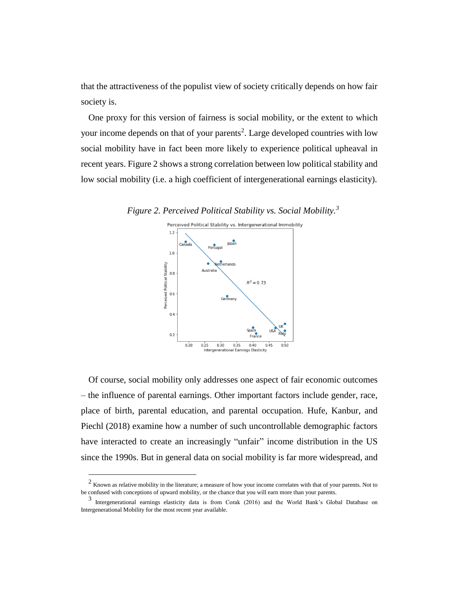that the attractiveness of the populist view of society critically depends on how fair society is.

One proxy for this version of fairness is social mobility, or the extent to which your income depends on that of your parents<sup>2</sup>. Large developed countries with low social mobility have in fact been more likely to experience political upheaval in recent years. Figure 2 shows a strong correlation between low political stability and low social mobility (i.e. a high coefficient of intergenerational earnings elasticity).

*Figure 2. Perceived Political Stability vs. Social Mobility.<sup>3</sup>*



Of course, social mobility only addresses one aspect of fair economic outcomes – the influence of parental earnings. Other important factors include gender, race, place of birth, parental education, and parental occupation. Hufe, Kanbur, and Piechl (2018) examine how a number of such uncontrollable demographic factors have interacted to create an increasingly "unfair" income distribution in the US since the 1990s. But in general data on social mobility is far more widespread, and

 $\overline{a}$ 

 $2 \text{ K}$  Known as relative mobility in the literature; a measure of how your income correlates with that of your parents. Not to be confused with conceptions of upward mobility, or the chance that you will earn more than your parents.

<sup>3</sup> Intergenerational earnings elasticity data is from Corak (2016) and the World Bank's Global Database on Intergenerational Mobility for the most recent year available.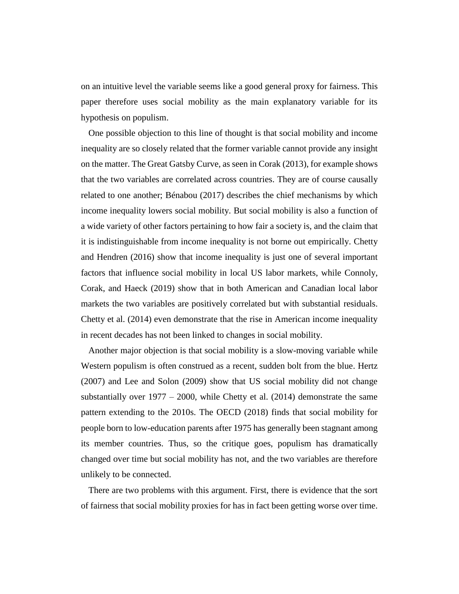on an intuitive level the variable seems like a good general proxy for fairness. This paper therefore uses social mobility as the main explanatory variable for its hypothesis on populism.

One possible objection to this line of thought is that social mobility and income inequality are so closely related that the former variable cannot provide any insight on the matter. The Great Gatsby Curve, as seen in Corak (2013), for example shows that the two variables are correlated across countries. They are of course causally related to one another; Bénabou (2017) describes the chief mechanisms by which income inequality lowers social mobility. But social mobility is also a function of a wide variety of other factors pertaining to how fair a society is, and the claim that it is indistinguishable from income inequality is not borne out empirically. Chetty and Hendren (2016) show that income inequality is just one of several important factors that influence social mobility in local US labor markets, while Connoly, Corak, and Haeck (2019) show that in both American and Canadian local labor markets the two variables are positively correlated but with substantial residuals. Chetty et al. (2014) even demonstrate that the rise in American income inequality in recent decades has not been linked to changes in social mobility.

Another major objection is that social mobility is a slow-moving variable while Western populism is often construed as a recent, sudden bolt from the blue. Hertz (2007) and Lee and Solon (2009) show that US social mobility did not change substantially over  $1977 - 2000$ , while Chetty et al. (2014) demonstrate the same pattern extending to the 2010s. The OECD (2018) finds that social mobility for people born to low-education parents after 1975 has generally been stagnant among its member countries. Thus, so the critique goes, populism has dramatically changed over time but social mobility has not, and the two variables are therefore unlikely to be connected.

There are two problems with this argument. First, there is evidence that the sort of fairness that social mobility proxies for has in fact been getting worse over time.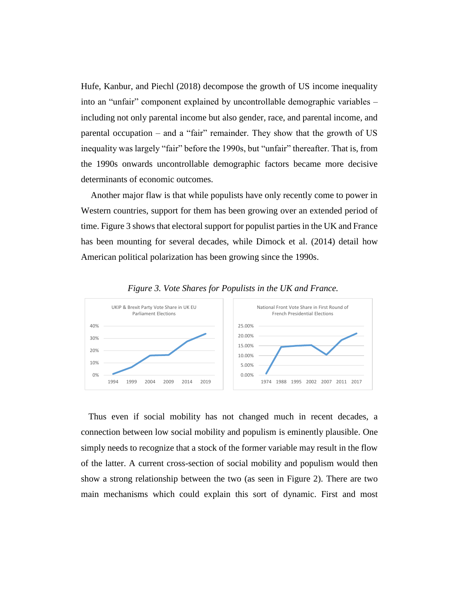Hufe, Kanbur, and Piechl (2018) decompose the growth of US income inequality into an "unfair" component explained by uncontrollable demographic variables – including not only parental income but also gender, race, and parental income, and parental occupation – and a "fair" remainder. They show that the growth of US inequality was largely "fair" before the 1990s, but "unfair" thereafter. That is, from the 1990s onwards uncontrollable demographic factors became more decisive determinants of economic outcomes.

Another major flaw is that while populists have only recently come to power in Western countries, support for them has been growing over an extended period of time. Figure 3 shows that electoral support for populist parties in the UK and France has been mounting for several decades, while Dimock et al. (2014) detail how American political polarization has been growing since the 1990s.



*Figure 3. Vote Shares for Populists in the UK and France.*

Thus even if social mobility has not changed much in recent decades, a connection between low social mobility and populism is eminently plausible. One simply needs to recognize that a stock of the former variable may result in the flow of the latter. A current cross-section of social mobility and populism would then show a strong relationship between the two (as seen in Figure 2). There are two main mechanisms which could explain this sort of dynamic. First and most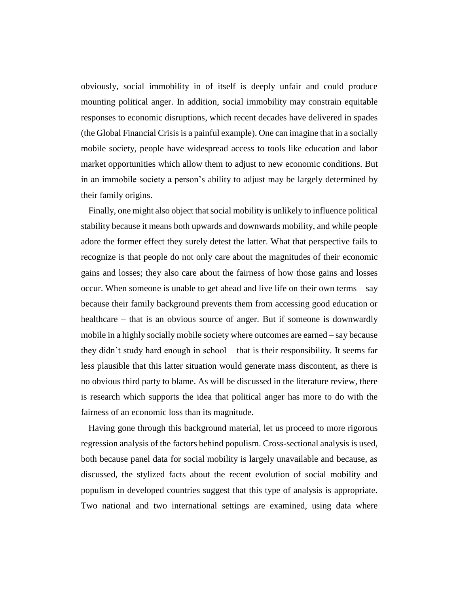obviously, social immobility in of itself is deeply unfair and could produce mounting political anger. In addition, social immobility may constrain equitable responses to economic disruptions, which recent decades have delivered in spades (the Global Financial Crisis is a painful example). One can imagine that in a socially mobile society, people have widespread access to tools like education and labor market opportunities which allow them to adjust to new economic conditions. But in an immobile society a person's ability to adjust may be largely determined by their family origins.

Finally, one might also object that social mobility is unlikely to influence political stability because it means both upwards and downwards mobility, and while people adore the former effect they surely detest the latter. What that perspective fails to recognize is that people do not only care about the magnitudes of their economic gains and losses; they also care about the fairness of how those gains and losses occur. When someone is unable to get ahead and live life on their own terms – say because their family background prevents them from accessing good education or healthcare – that is an obvious source of anger. But if someone is downwardly mobile in a highly socially mobile society where outcomes are earned – say because they didn't study hard enough in school – that is their responsibility. It seems far less plausible that this latter situation would generate mass discontent, as there is no obvious third party to blame. As will be discussed in the literature review, there is research which supports the idea that political anger has more to do with the fairness of an economic loss than its magnitude.

Having gone through this background material, let us proceed to more rigorous regression analysis of the factors behind populism. Cross-sectional analysis is used, both because panel data for social mobility is largely unavailable and because, as discussed, the stylized facts about the recent evolution of social mobility and populism in developed countries suggest that this type of analysis is appropriate. Two national and two international settings are examined, using data where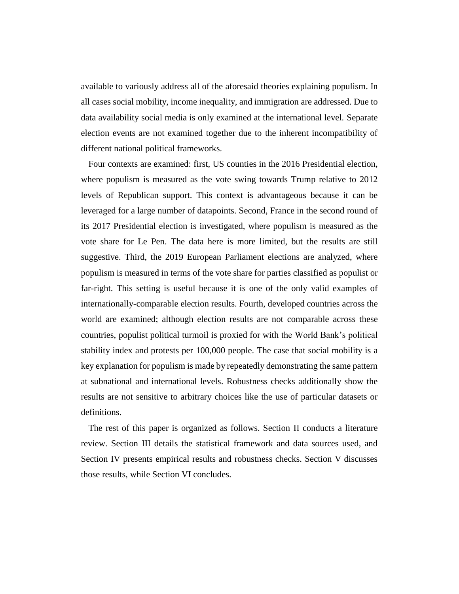available to variously address all of the aforesaid theories explaining populism. In all cases social mobility, income inequality, and immigration are addressed. Due to data availability social media is only examined at the international level. Separate election events are not examined together due to the inherent incompatibility of different national political frameworks.

Four contexts are examined: first, US counties in the 2016 Presidential election, where populism is measured as the vote swing towards Trump relative to 2012 levels of Republican support. This context is advantageous because it can be leveraged for a large number of datapoints. Second, France in the second round of its 2017 Presidential election is investigated, where populism is measured as the vote share for Le Pen. The data here is more limited, but the results are still suggestive. Third, the 2019 European Parliament elections are analyzed, where populism is measured in terms of the vote share for parties classified as populist or far-right. This setting is useful because it is one of the only valid examples of internationally-comparable election results. Fourth, developed countries across the world are examined; although election results are not comparable across these countries, populist political turmoil is proxied for with the World Bank's political stability index and protests per 100,000 people. The case that social mobility is a key explanation for populism is made by repeatedly demonstrating the same pattern at subnational and international levels. Robustness checks additionally show the results are not sensitive to arbitrary choices like the use of particular datasets or definitions.

The rest of this paper is organized as follows. Section II conducts a literature review. Section III details the statistical framework and data sources used, and Section IV presents empirical results and robustness checks. Section V discusses those results, while Section VI concludes.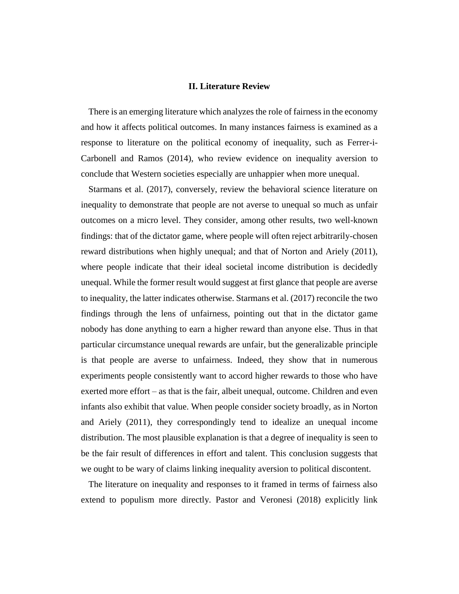#### **II. Literature Review**

There is an emerging literature which analyzes the role of fairness in the economy and how it affects political outcomes. In many instances fairness is examined as a response to literature on the political economy of inequality, such as Ferrer-i-Carbonell and Ramos (2014), who review evidence on inequality aversion to conclude that Western societies especially are unhappier when more unequal.

Starmans et al. (2017), conversely, review the behavioral science literature on inequality to demonstrate that people are not averse to unequal so much as unfair outcomes on a micro level. They consider, among other results, two well-known findings: that of the dictator game, where people will often reject arbitrarily-chosen reward distributions when highly unequal; and that of Norton and Ariely (2011), where people indicate that their ideal societal income distribution is decidedly unequal. While the former result would suggest at first glance that people are averse to inequality, the latter indicates otherwise. Starmans et al. (2017) reconcile the two findings through the lens of unfairness, pointing out that in the dictator game nobody has done anything to earn a higher reward than anyone else. Thus in that particular circumstance unequal rewards are unfair, but the generalizable principle is that people are averse to unfairness. Indeed, they show that in numerous experiments people consistently want to accord higher rewards to those who have exerted more effort – as that is the fair, albeit unequal, outcome. Children and even infants also exhibit that value. When people consider society broadly, as in Norton and Ariely (2011), they correspondingly tend to idealize an unequal income distribution. The most plausible explanation is that a degree of inequality is seen to be the fair result of differences in effort and talent. This conclusion suggests that we ought to be wary of claims linking inequality aversion to political discontent.

The literature on inequality and responses to it framed in terms of fairness also extend to populism more directly. Pastor and Veronesi (2018) explicitly link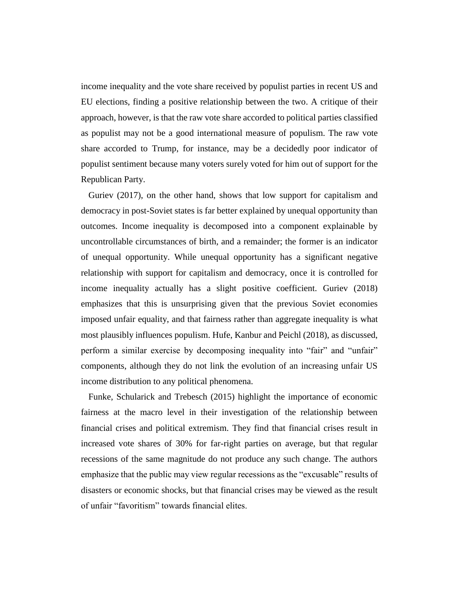income inequality and the vote share received by populist parties in recent US and EU elections, finding a positive relationship between the two. A critique of their approach, however, is that the raw vote share accorded to political parties classified as populist may not be a good international measure of populism. The raw vote share accorded to Trump, for instance, may be a decidedly poor indicator of populist sentiment because many voters surely voted for him out of support for the Republican Party.

Guriev (2017), on the other hand, shows that low support for capitalism and democracy in post-Soviet states is far better explained by unequal opportunity than outcomes. Income inequality is decomposed into a component explainable by uncontrollable circumstances of birth, and a remainder; the former is an indicator of unequal opportunity. While unequal opportunity has a significant negative relationship with support for capitalism and democracy, once it is controlled for income inequality actually has a slight positive coefficient. Guriev (2018) emphasizes that this is unsurprising given that the previous Soviet economies imposed unfair equality, and that fairness rather than aggregate inequality is what most plausibly influences populism. Hufe, Kanbur and Peichl (2018), as discussed, perform a similar exercise by decomposing inequality into "fair" and "unfair" components, although they do not link the evolution of an increasing unfair US income distribution to any political phenomena.

Funke, Schularick and Trebesch (2015) highlight the importance of economic fairness at the macro level in their investigation of the relationship between financial crises and political extremism. They find that financial crises result in increased vote shares of 30% for far-right parties on average, but that regular recessions of the same magnitude do not produce any such change. The authors emphasize that the public may view regular recessions as the "excusable" results of disasters or economic shocks, but that financial crises may be viewed as the result of unfair "favoritism" towards financial elites.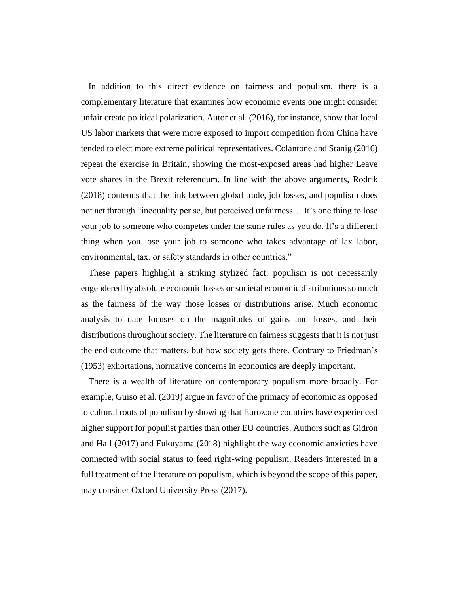In addition to this direct evidence on fairness and populism, there is a complementary literature that examines how economic events one might consider unfair create political polarization. Autor et al. (2016), for instance, show that local US labor markets that were more exposed to import competition from China have tended to elect more extreme political representatives. Colantone and Stanig (2016) repeat the exercise in Britain, showing the most-exposed areas had higher Leave vote shares in the Brexit referendum. In line with the above arguments, Rodrik (2018) contends that the link between global trade, job losses, and populism does not act through "inequality per se, but perceived unfairness… It's one thing to lose your job to someone who competes under the same rules as you do. It's a different thing when you lose your job to someone who takes advantage of lax labor, environmental, tax, or safety standards in other countries."

These papers highlight a striking stylized fact: populism is not necessarily engendered by absolute economic losses or societal economic distributions so much as the fairness of the way those losses or distributions arise. Much economic analysis to date focuses on the magnitudes of gains and losses, and their distributions throughout society. The literature on fairness suggests that it is not just the end outcome that matters, but how society gets there. Contrary to Friedman's (1953) exhortations, normative concerns in economics are deeply important.

There is a wealth of literature on contemporary populism more broadly. For example, Guiso et al. (2019) argue in favor of the primacy of economic as opposed to cultural roots of populism by showing that Eurozone countries have experienced higher support for populist parties than other EU countries. Authors such as Gidron and Hall (2017) and Fukuyama (2018) highlight the way economic anxieties have connected with social status to feed right-wing populism. Readers interested in a full treatment of the literature on populism, which is beyond the scope of this paper, may consider Oxford University Press (2017).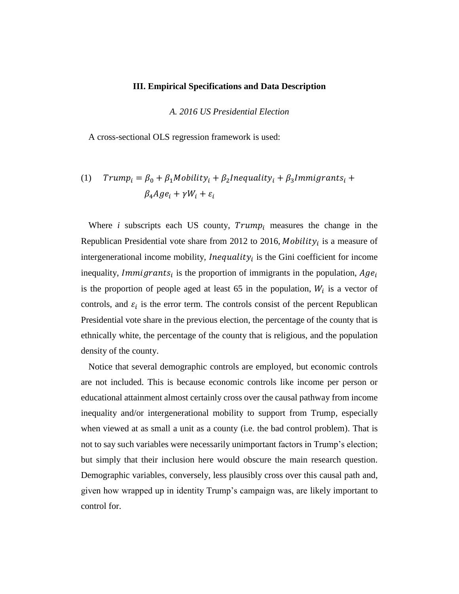#### **III. Empirical Specifications and Data Description**

*A. 2016 US Presidential Election*

A cross-sectional OLS regression framework is used:

## (1)  $Trump_i = \beta_0 + \beta_1 M obility_i + \beta_2 Inequality_i + \beta_3 Immigrants_i +$  $\beta_4 A g e_i + \gamma W_i + \varepsilon_i$

Where  $i$  subscripts each US county,  $Trump_i$  measures the change in the Republican Presidential vote share from 2012 to 2016, *Mobility<sub>i</sub>* is a measure of intergenerational income mobility, *Inequality*<sub>i</sub> is the Gini coefficient for income inequality, *Immigrants*<sub>i</sub> is the proportion of immigrants in the population,  $Age<sub>i</sub>$ is the proportion of people aged at least 65 in the population,  $W_i$  is a vector of controls, and  $\varepsilon_i$  is the error term. The controls consist of the percent Republican Presidential vote share in the previous election, the percentage of the county that is ethnically white, the percentage of the county that is religious, and the population density of the county.

Notice that several demographic controls are employed, but economic controls are not included. This is because economic controls like income per person or educational attainment almost certainly cross over the causal pathway from income inequality and/or intergenerational mobility to support from Trump, especially when viewed at as small a unit as a county (i.e. the bad control problem). That is not to say such variables were necessarily unimportant factors in Trump's election; but simply that their inclusion here would obscure the main research question. Demographic variables, conversely, less plausibly cross over this causal path and, given how wrapped up in identity Trump's campaign was, are likely important to control for.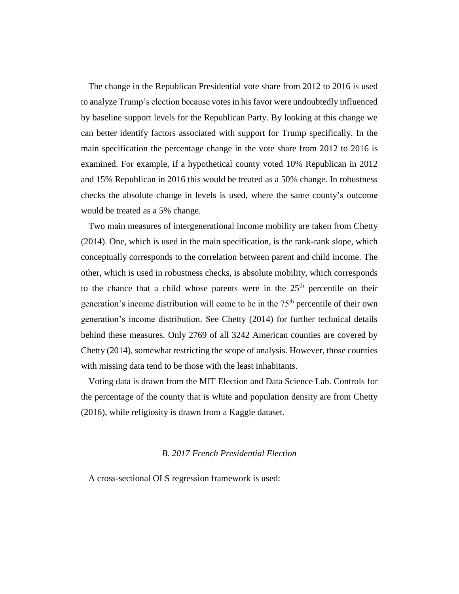The change in the Republican Presidential vote share from 2012 to 2016 is used to analyze Trump's election because votes in his favor were undoubtedly influenced by baseline support levels for the Republican Party. By looking at this change we can better identify factors associated with support for Trump specifically. In the main specification the percentage change in the vote share from 2012 to 2016 is examined. For example, if a hypothetical county voted 10% Republican in 2012 and 15% Republican in 2016 this would be treated as a 50% change. In robustness checks the absolute change in levels is used, where the same county's outcome would be treated as a 5% change.

Two main measures of intergenerational income mobility are taken from Chetty (2014). One, which is used in the main specification, is the rank-rank slope, which conceptually corresponds to the correlation between parent and child income. The other, which is used in robustness checks, is absolute mobility, which corresponds to the chance that a child whose parents were in the  $25<sup>th</sup>$  percentile on their generation's income distribution will come to be in the 75th percentile of their own generation's income distribution. See Chetty (2014) for further technical details behind these measures. Only 2769 of all 3242 American counties are covered by Chetty (2014), somewhat restricting the scope of analysis. However, those counties with missing data tend to be those with the least inhabitants.

Voting data is drawn from the MIT Election and Data Science Lab. Controls for the percentage of the county that is white and population density are from Chetty (2016), while religiosity is drawn from a Kaggle dataset.

#### *B. 2017 French Presidential Election*

A cross-sectional OLS regression framework is used: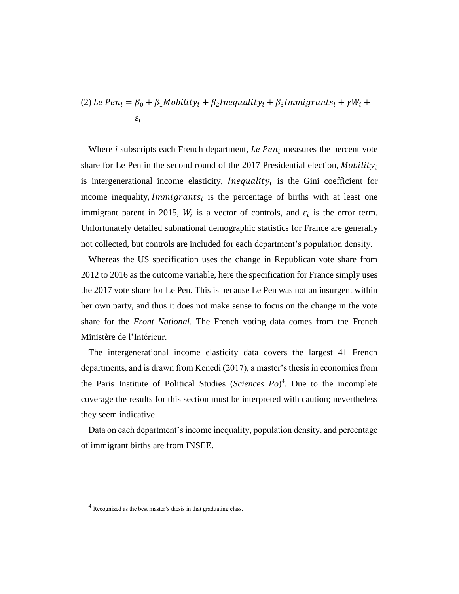(2) *Le Pen<sub>i</sub>* = 
$$
\beta_0 + \beta_1
$$
*Mobility<sub>i</sub>* +  $\beta_2$ *Inequality<sub>i</sub>* +  $\beta_3$ *Immigrants<sub>i</sub>* +  $\gamma W_i$  +  $\varepsilon_i$ 

Where  $i$  subscripts each French department, *Le Pen<sub>i</sub>* measures the percent vote share for Le Pen in the second round of the 2017 Presidential election, Mobility<sub>i</sub> is intergenerational income elasticity, *Inequality*<sub>i</sub> is the Gini coefficient for income inequality, *Immigrants*<sub>i</sub> is the percentage of births with at least one immigrant parent in 2015,  $W_i$  is a vector of controls, and  $\varepsilon_i$  is the error term. Unfortunately detailed subnational demographic statistics for France are generally not collected, but controls are included for each department's population density.

Whereas the US specification uses the change in Republican vote share from 2012 to 2016 as the outcome variable, here the specification for France simply uses the 2017 vote share for Le Pen. This is because Le Pen was not an insurgent within her own party, and thus it does not make sense to focus on the change in the vote share for the *Front National*. The French voting data comes from the French Ministère de l'Intérieur.

The intergenerational income elasticity data covers the largest 41 French departments, and is drawn from Kenedi (2017), a master's thesis in economics from the Paris Institute of Political Studies (*Sciences Po*) 4 . Due to the incomplete coverage the results for this section must be interpreted with caution; nevertheless they seem indicative.

Data on each department's income inequality, population density, and percentage of immigrant births are from INSEE.

 $\overline{a}$ 

<sup>4</sup> Recognized as the best master's thesis in that graduating class.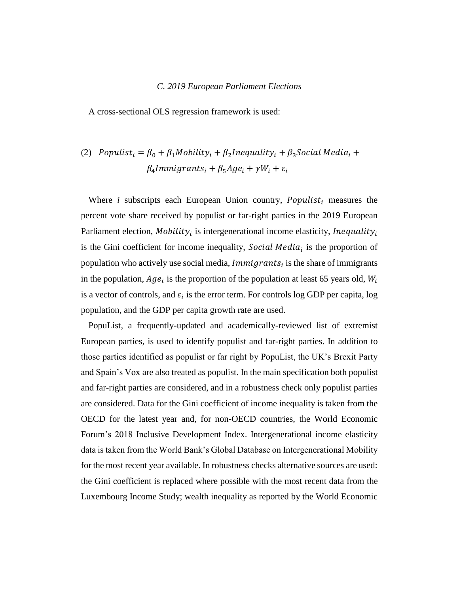#### *C. 2019 European Parliament Elections*

A cross-sectional OLS regression framework is used:

### (2) Populist<sub>i</sub> =  $\beta_0 + \beta_1$ Mobility<sub>i</sub> +  $\beta_2$ Inequality<sub>i</sub> +  $\beta_3$ Social Media<sub>i</sub> +  $\beta_4$ Immigrants<sub>i</sub> +  $\beta_5$ Age<sub>i</sub> +  $\gamma W_i$  +  $\varepsilon_i$

Where  $i$  subscripts each European Union country,  $Populist_i$  measures the percent vote share received by populist or far-right parties in the 2019 European Parliament election, *Mobility<sub>i</sub>* is intergenerational income elasticity, *Inequality<sub>i</sub>* is the Gini coefficient for income inequality, Social Media<sub>i</sub> is the proportion of population who actively use social media,  $Immigrants_i$  is the share of immigrants in the population,  $Age_i$  is the proportion of the population at least 65 years old,  $W_i$ is a vector of controls, and  $\varepsilon_i$  is the error term. For controls log GDP per capita, log population, and the GDP per capita growth rate are used.

PopuList, a frequently-updated and academically-reviewed list of extremist European parties, is used to identify populist and far-right parties. In addition to those parties identified as populist or far right by PopuList, the UK's Brexit Party and Spain's Vox are also treated as populist. In the main specification both populist and far-right parties are considered, and in a robustness check only populist parties are considered. Data for the Gini coefficient of income inequality is taken from the OECD for the latest year and, for non-OECD countries, the World Economic Forum's 2018 Inclusive Development Index. Intergenerational income elasticity data is taken from the World Bank's Global Database on Intergenerational Mobility for the most recent year available. In robustness checks alternative sources are used: the Gini coefficient is replaced where possible with the most recent data from the Luxembourg Income Study; wealth inequality as reported by the World Economic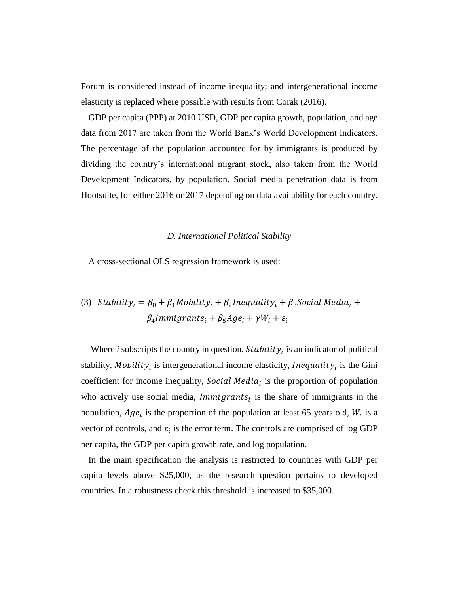Forum is considered instead of income inequality; and intergenerational income elasticity is replaced where possible with results from Corak (2016).

GDP per capita (PPP) at 2010 USD, GDP per capita growth, population, and age data from 2017 are taken from the World Bank's World Development Indicators. The percentage of the population accounted for by immigrants is produced by dividing the country's international migrant stock, also taken from the World Development Indicators, by population. Social media penetration data is from Hootsuite, for either 2016 or 2017 depending on data availability for each country.

#### *D. International Political Stability*

A cross-sectional OLS regression framework is used:

(3) *Stability<sub>i</sub>* = 
$$
\beta_0 + \beta_1
$$
*Mobility<sub>i</sub>* +  $\beta_2$ *Inequality<sub>i</sub>* +  $\beta_3$ *Social Media<sub>i</sub>* +  $\beta_4$ *Immigrants<sub>i</sub>* +  $\beta_5$ *Age<sub>i</sub>* +  $\gamma W_i$  +  $\varepsilon_i$ 

Where  $i$  subscripts the country in question,  $Stability_i$  is an indicator of political stability, Mobility<sub>i</sub> is intergenerational income elasticity, *Inequality*<sub>i</sub> is the Gini coefficient for income inequality, Social Media<sub>i</sub> is the proportion of population who actively use social media,  $Immigrants_i$  is the share of immigrants in the population,  $Age_i$  is the proportion of the population at least 65 years old,  $W_i$  is a vector of controls, and  $\varepsilon_i$  is the error term. The controls are comprised of log GDP per capita, the GDP per capita growth rate, and log population.

In the main specification the analysis is restricted to countries with GDP per capita levels above \$25,000, as the research question pertains to developed countries. In a robustness check this threshold is increased to \$35,000.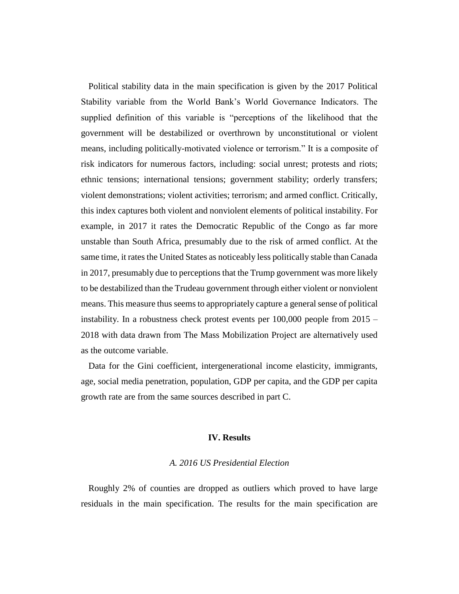Political stability data in the main specification is given by the 2017 Political Stability variable from the World Bank's World Governance Indicators. The supplied definition of this variable is "perceptions of the likelihood that the government will be destabilized or overthrown by unconstitutional or violent means, including politically-motivated violence or terrorism." It is a composite of risk indicators for numerous factors, including: social unrest; protests and riots; ethnic tensions; international tensions; government stability; orderly transfers; violent demonstrations; violent activities; terrorism; and armed conflict. Critically, this index captures both violent and nonviolent elements of political instability. For example, in 2017 it rates the Democratic Republic of the Congo as far more unstable than South Africa, presumably due to the risk of armed conflict. At the same time, it rates the United States as noticeably less politically stable than Canada in 2017, presumably due to perceptions that the Trump government was more likely to be destabilized than the Trudeau government through either violent or nonviolent means. This measure thus seems to appropriately capture a general sense of political instability. In a robustness check protest events per 100,000 people from 2015 – 2018 with data drawn from The Mass Mobilization Project are alternatively used as the outcome variable.

Data for the Gini coefficient, intergenerational income elasticity, immigrants, age, social media penetration, population, GDP per capita, and the GDP per capita growth rate are from the same sources described in part C.

#### **IV. Results**

#### *A. 2016 US Presidential Election*

Roughly 2% of counties are dropped as outliers which proved to have large residuals in the main specification. The results for the main specification are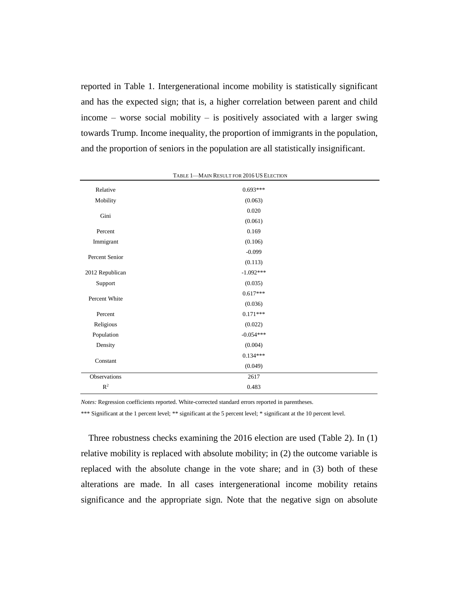reported in Table 1. Intergenerational income mobility is statistically significant and has the expected sign; that is, a higher correlation between parent and child income – worse social mobility – is positively associated with a larger swing towards Trump. Income inequality, the proportion of immigrants in the population, and the proportion of seniors in the population are all statistically insignificant.

| Relative        | $0.693***$  |  |
|-----------------|-------------|--|
| Mobility        | (0.063)     |  |
|                 | 0.020       |  |
| Gini            | (0.061)     |  |
| Percent         | 0.169       |  |
| Immigrant       | (0.106)     |  |
|                 | $-0.099$    |  |
| Percent Senior  | (0.113)     |  |
| 2012 Republican | $-1.092***$ |  |
| Support         | (0.035)     |  |
|                 | $0.617***$  |  |
| Percent White   | (0.036)     |  |
| Percent         | $0.171***$  |  |
| Religious       | (0.022)     |  |
| Population      | $-0.054***$ |  |
| Density         | (0.004)     |  |
|                 | $0.134***$  |  |
| Constant        | (0.049)     |  |
| Observations    | 2617        |  |
| $R^2$           | 0.483       |  |
|                 |             |  |

TABLE 1—MAIN RESULT FOR 2016 US ELECTION

*Notes:* Regression coefficients reported. White-corrected standard errors reported in parentheses.

\*\*\* Significant at the 1 percent level; \*\* significant at the 5 percent level; \* significant at the 10 percent level.

Three robustness checks examining the 2016 election are used (Table 2). In (1) relative mobility is replaced with absolute mobility; in (2) the outcome variable is replaced with the absolute change in the vote share; and in (3) both of these alterations are made. In all cases intergenerational income mobility retains significance and the appropriate sign. Note that the negative sign on absolute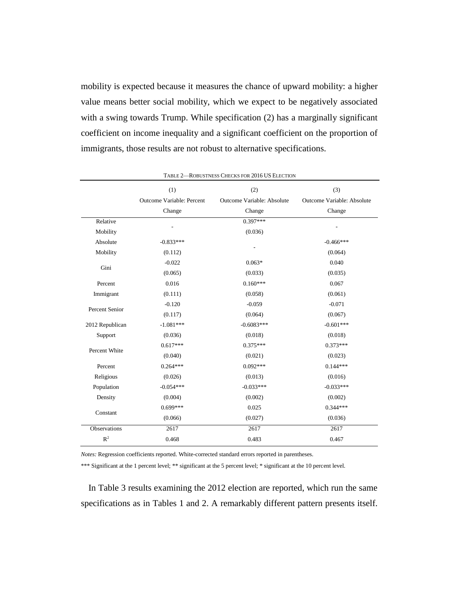mobility is expected because it measures the chance of upward mobility: a higher value means better social mobility, which we expect to be negatively associated with a swing towards Trump. While specification (2) has a marginally significant coefficient on income inequality and a significant coefficient on the proportion of immigrants, those results are not robust to alternative specifications.

|                 |                                  | RODOSTIVESS CHECKS FOR 2010 OS ELECTION |                            |
|-----------------|----------------------------------|-----------------------------------------|----------------------------|
|                 | (1)                              | (2)                                     | (3)                        |
|                 | <b>Outcome Variable: Percent</b> | Outcome Variable: Absolute              | Outcome Variable: Absolute |
|                 | Change                           | Change                                  | Change                     |
| Relative        |                                  | $0.397***$                              |                            |
| Mobility        |                                  | (0.036)                                 |                            |
| Absolute        | $-0.833***$                      |                                         | $-0.466***$                |
| Mobility        | (0.112)                          |                                         | (0.064)                    |
| Gini            | $-0.022$                         | $0.063*$                                | 0.040                      |
|                 | (0.065)                          | (0.033)                                 | (0.035)                    |
| Percent         | 0.016                            | $0.160***$                              | 0.067                      |
| Immigrant       | (0.111)                          | (0.058)                                 | (0.061)                    |
| Percent Senior  | $-0.120$                         | $-0.059$                                | $-0.071$                   |
|                 | (0.117)                          | (0.064)                                 | (0.067)                    |
| 2012 Republican | $-1.081***$                      | $-0.6083***$                            | $-0.601***$                |
| Support         | (0.036)                          | (0.018)                                 | (0.018)                    |
|                 | $0.617***$                       | $0.375***$                              | $0.373***$                 |
| Percent White   | (0.040)                          | (0.021)                                 | (0.023)                    |
| Percent         | $0.264***$                       | $0.092***$                              | $0.144***$                 |
| Religious       | (0.026)                          | (0.013)                                 | (0.016)                    |
| Population      | $-0.054***$                      | $-0.033***$                             | $-0.033***$                |
| Density         | (0.004)                          | (0.002)                                 | (0.002)                    |
|                 | $0.699***$                       | 0.025                                   | $0.344***$                 |
| Constant        | (0.066)                          | (0.027)                                 | (0.036)                    |
| Observations    | 2617                             | 2617                                    | 2617                       |
| $R^2$           | 0.468                            | 0.483                                   | 0.467                      |

TABLE 2—ROBUSTNESS CHECKS FOR 2016 US ELECTION

*Notes:* Regression coefficients reported. White-corrected standard errors reported in parentheses.

\*\*\* Significant at the 1 percent level; \*\* significant at the 5 percent level; \* significant at the 10 percent level.

In Table 3 results examining the 2012 election are reported, which run the same specifications as in Tables 1 and 2. A remarkably different pattern presents itself.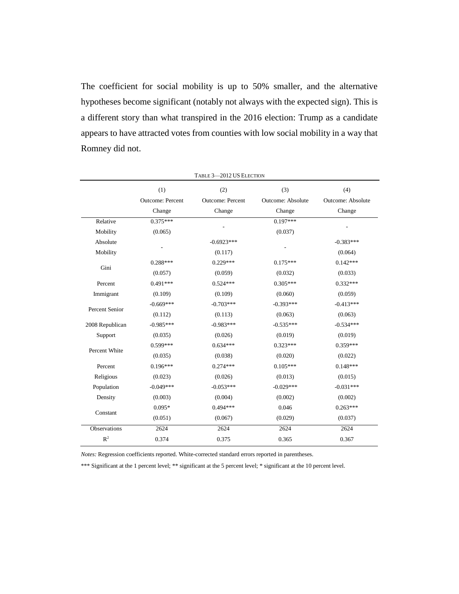The coefficient for social mobility is up to 50% smaller, and the alternative hypotheses become significant (notably not always with the expected sign). This is a different story than what transpired in the 2016 election: Trump as a candidate appears to have attracted votes from counties with low social mobility in a way that Romney did not.

|                 |                         | <b>I ABLE <math>3-2012</math> US ELECTION</b> |                   |                          |
|-----------------|-------------------------|-----------------------------------------------|-------------------|--------------------------|
|                 | (1)                     | (2)                                           | (3)               | (4)                      |
|                 | <b>Outcome: Percent</b> | <b>Outcome: Percent</b>                       | Outcome: Absolute | <b>Outcome: Absolute</b> |
|                 | Change                  | Change                                        | Change            | Change                   |
| Relative        | $0.375***$              |                                               | $0.197***$        |                          |
| Mobility        | (0.065)                 |                                               | (0.037)           |                          |
| Absolute        |                         | $-0.6923***$                                  |                   | $-0.383***$              |
| Mobility        |                         | (0.117)                                       |                   | (0.064)                  |
|                 | $0.288***$              | $0.229***$                                    | $0.175***$        | $0.142***$               |
| Gini            | (0.057)                 | (0.059)                                       | (0.032)           | (0.033)                  |
| Percent         | $0.491***$              | $0.524***$                                    | $0.305***$        | $0.332***$               |
| Immigrant       | (0.109)                 | (0.109)                                       | (0.060)           | (0.059)                  |
| Percent Senior  | $-0.669***$             | $-0.703***$                                   | $-0.393***$       | $-0.413***$              |
|                 | (0.112)                 | (0.113)                                       | (0.063)           | (0.063)                  |
| 2008 Republican | $-0.985***$             | $-0.983***$                                   | $-0.535***$       | $-0.534***$              |
| Support         | (0.035)                 | (0.026)                                       | (0.019)           | (0.019)                  |
| Percent White   | $0.599***$              | $0.634***$                                    | $0.323***$        | $0.359***$               |
|                 | (0.035)                 | (0.038)                                       | (0.020)           | (0.022)                  |
| Percent         | $0.196***$              | $0.274***$                                    | $0.105***$        | $0.148***$               |
| Religious       | (0.023)                 | (0.026)                                       | (0.013)           | (0.015)                  |
| Population      | $-0.049***$             | $-0.053***$                                   | $-0.029***$       | $-0.031***$              |
| Density         | (0.003)                 | (0.004)                                       | (0.002)           | (0.002)                  |
|                 | $0.095*$                | $0.494***$                                    | 0.046             | $0.263***$               |
| Constant        | (0.051)                 | (0.067)                                       | (0.029)           | (0.037)                  |
| Observations    | 2624                    | 2624                                          | 2624              | 2624                     |
| $\mathbb{R}^2$  | 0.374                   | 0.375                                         | 0.365             | 0.367                    |

TABLE 3—2012 US ELECTION

*Notes:* Regression coefficients reported. White-corrected standard errors reported in parentheses.

\*\*\* Significant at the 1 percent level; \*\* significant at the 5 percent level; \* significant at the 10 percent level.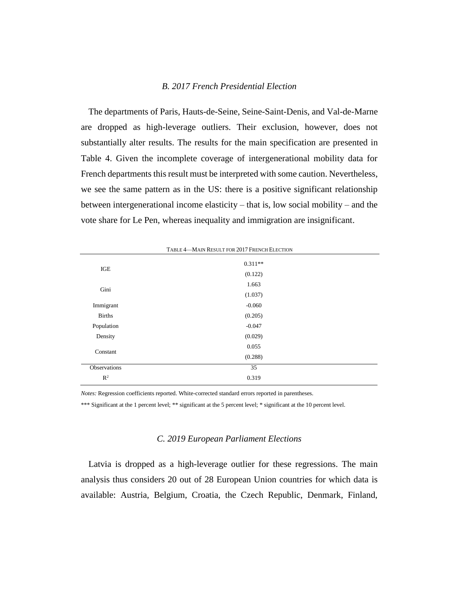#### *B. 2017 French Presidential Election*

The departments of Paris, Hauts-de-Seine, Seine-Saint-Denis, and Val-de-Marne are dropped as high-leverage outliers. Their exclusion, however, does not substantially alter results. The results for the main specification are presented in Table 4. Given the incomplete coverage of intergenerational mobility data for French departments this result must be interpreted with some caution. Nevertheless, we see the same pattern as in the US: there is a positive significant relationship between intergenerational income elasticity – that is, low social mobility – and the vote share for Le Pen, whereas inequality and immigration are insignificant.

|                | TABLE 4-MAIN RESULT FOR 2017 FRENCH ELECTION |  |
|----------------|----------------------------------------------|--|
| IGE            | $0.311**$<br>(0.122)                         |  |
| Gini           | 1.663<br>(1.037)                             |  |
| Immigrant      | $-0.060$                                     |  |
| <b>Births</b>  | (0.205)                                      |  |
| Population     | $-0.047$                                     |  |
| Density        | (0.029)                                      |  |
| Constant       | 0.055                                        |  |
|                | (0.288)                                      |  |
| Observations   | 35                                           |  |
| $\mathbb{R}^2$ | 0.319                                        |  |
|                |                                              |  |

*Notes:* Regression coefficients reported. White-corrected standard errors reported in parentheses.

\*\*\* Significant at the 1 percent level; \*\* significant at the 5 percent level; \* significant at the 10 percent level.

#### *C. 2019 European Parliament Elections*

Latvia is dropped as a high-leverage outlier for these regressions. The main analysis thus considers 20 out of 28 European Union countries for which data is available: Austria, Belgium, Croatia, the Czech Republic, Denmark, Finland,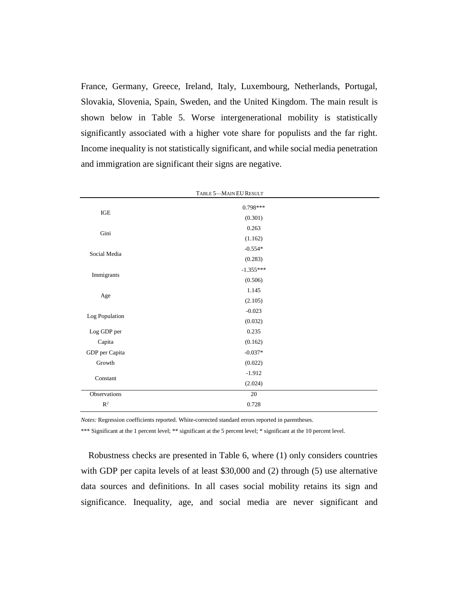France, Germany, Greece, Ireland, Italy, Luxembourg, Netherlands, Portugal, Slovakia, Slovenia, Spain, Sweden, and the United Kingdom. The main result is shown below in Table 5. Worse intergenerational mobility is statistically significantly associated with a higher vote share for populists and the far right. Income inequality is not statistically significant, and while social media penetration and immigration are significant their signs are negative.

| TABLE 5-MAIN EU RESULT |             |  |  |  |
|------------------------|-------------|--|--|--|
|                        | $0.798***$  |  |  |  |
| $_{\rm IGE}$           | (0.301)     |  |  |  |
| Gini                   | 0.263       |  |  |  |
|                        | (1.162)     |  |  |  |
| Social Media           | $-0.554*$   |  |  |  |
|                        | (0.283)     |  |  |  |
| Immigrants             | $-1.355***$ |  |  |  |
|                        | (0.506)     |  |  |  |
| Age                    | 1.145       |  |  |  |
|                        | (2.105)     |  |  |  |
| Log Population         | $-0.023$    |  |  |  |
|                        | (0.032)     |  |  |  |
| Log GDP per            | 0.235       |  |  |  |
| Capita                 | (0.162)     |  |  |  |
| GDP per Capita         | $-0.037*$   |  |  |  |
| Growth                 | (0.022)     |  |  |  |
| Constant               | $-1.912$    |  |  |  |
|                        | (2.024)     |  |  |  |
| Observations           | $20\,$      |  |  |  |
| $\mathbb{R}^2$         | 0.728       |  |  |  |

*Notes:* Regression coefficients reported. White-corrected standard errors reported in parentheses.

\*\*\* Significant at the 1 percent level; \*\* significant at the 5 percent level; \* significant at the 10 percent level.

Robustness checks are presented in Table 6, where (1) only considers countries with GDP per capita levels of at least \$30,000 and (2) through (5) use alternative data sources and definitions. In all cases social mobility retains its sign and significance. Inequality, age, and social media are never significant and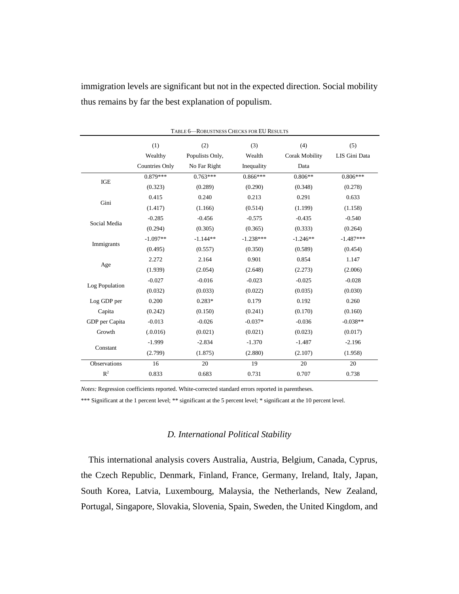immigration levels are significant but not in the expected direction. Social mobility thus remains by far the best explanation of populism.

| TABLE 6-ROBUSTNESS CHECKS FOR EU RESULTS |                       |                 |             |                       |               |
|------------------------------------------|-----------------------|-----------------|-------------|-----------------------|---------------|
|                                          | (1)                   | (2)             | (3)         | (4)                   | (5)           |
|                                          | Wealthy               | Populists Only, | Wealth      | <b>Corak Mobility</b> | LIS Gini Data |
|                                          | <b>Countries Only</b> | No Far Right    | Inequality  | Data                  |               |
| ${IGE}$                                  | $0.879***$            | $0.763***$      | $0.866***$  | $0.806**$             | $0.806***$    |
|                                          | (0.323)               | (0.289)         | (0.290)     | (0.348)               | (0.278)       |
| Gini                                     | 0.415                 | 0.240           | 0.213       | 0.291                 | 0.633         |
|                                          | (1.417)               | (1.166)         | (0.514)     | (1.199)               | (1.158)       |
| Social Media                             | $-0.285$              | $-0.456$        | $-0.575$    | $-0.435$              | $-0.540$      |
|                                          | (0.294)               | (0.305)         | (0.365)     | (0.333)               | (0.264)       |
| Immigrants                               | $-1.097**$            | $-1.144**$      | $-1.238***$ | $-1.246**$            | $-1.487***$   |
|                                          | (0.495)               | (0.557)         | (0.350)     | (0.589)               | (0.454)       |
|                                          | 2.272                 | 2.164           | 0.901       | 0.854                 | 1.147         |
| Age                                      | (1.939)               | (2.054)         | (2.648)     | (2.273)               | (2.006)       |
| Log Population                           | $-0.027$              | $-0.016$        | $-0.023$    | $-0.025$              | $-0.028$      |
|                                          | (0.032)               | (0.033)         | (0.022)     | (0.035)               | (0.030)       |
| Log GDP per                              | 0.200                 | $0.283*$        | 0.179       | 0.192                 | 0.260         |
| Capita                                   | (0.242)               | (0.150)         | (0.241)     | (0.170)               | (0.160)       |
| GDP per Capita                           | $-0.013$              | $-0.026$        | $-0.037*$   | $-0.036$              | $-0.038**$    |
| Growth                                   | (.0.016)              | (0.021)         | (0.021)     | (0.023)               | (0.017)       |
|                                          | $-1.999$              | $-2.834$        | $-1.370$    | $-1.487$              | $-2.196$      |
| Constant                                 | (2.799)               | (1.875)         | (2.880)     | (2.107)               | (1.958)       |
| Observations                             | 16                    | 20              | 19          | 20                    | 20            |
| $R^2$                                    | 0.833                 | 0.683           | 0.731       | 0.707                 | 0.738         |

*Notes:* Regression coefficients reported. White-corrected standard errors reported in parentheses.

\*\*\* Significant at the 1 percent level; \*\* significant at the 5 percent level; \* significant at the 10 percent level.

#### *D. International Political Stability*

This international analysis covers Australia, Austria, Belgium, Canada, Cyprus, the Czech Republic, Denmark, Finland, France, Germany, Ireland, Italy, Japan, South Korea, Latvia, Luxembourg, Malaysia, the Netherlands, New Zealand, Portugal, Singapore, Slovakia, Slovenia, Spain, Sweden, the United Kingdom, and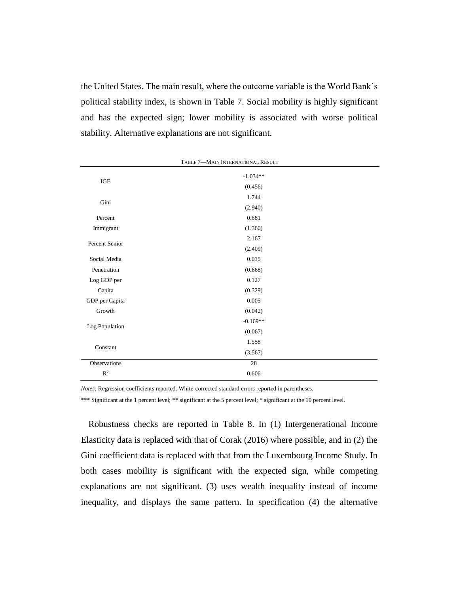the United States. The main result, where the outcome variable is the World Bank's political stability index, is shown in Table 7. Social mobility is highly significant and has the expected sign; lower mobility is associated with worse political stability. Alternative explanations are not significant.

| TABLE 7-MAIN INTERNATIONAL RESULT |            |  |  |  |
|-----------------------------------|------------|--|--|--|
| $_{\rm IGE}$                      | $-1.034**$ |  |  |  |
|                                   | (0.456)    |  |  |  |
| Gini                              | 1.744      |  |  |  |
|                                   | (2.940)    |  |  |  |
| Percent                           | 0.681      |  |  |  |
| Immigrant                         | (1.360)    |  |  |  |
| Percent Senior                    | 2.167      |  |  |  |
|                                   | (2.409)    |  |  |  |
| Social Media                      | 0.015      |  |  |  |
| Penetration                       | (0.668)    |  |  |  |
| Log GDP per                       | 0.127      |  |  |  |
| Capita                            | (0.329)    |  |  |  |
| GDP per Capita                    | 0.005      |  |  |  |
| Growth                            | (0.042)    |  |  |  |
|                                   | $-0.169**$ |  |  |  |
| Log Population                    | (0.067)    |  |  |  |
| Constant                          | 1.558      |  |  |  |
|                                   | (3.567)    |  |  |  |
| Observations                      | $28\,$     |  |  |  |
| $\mathbb{R}^2$                    | $0.606\,$  |  |  |  |

*Notes:* Regression coefficients reported. White-corrected standard errors reported in parentheses.

\*\*\* Significant at the 1 percent level; \*\* significant at the 5 percent level; \* significant at the 10 percent level.

Robustness checks are reported in Table 8. In (1) Intergenerational Income Elasticity data is replaced with that of Corak (2016) where possible, and in (2) the Gini coefficient data is replaced with that from the Luxembourg Income Study. In both cases mobility is significant with the expected sign, while competing explanations are not significant. (3) uses wealth inequality instead of income inequality, and displays the same pattern. In specification (4) the alternative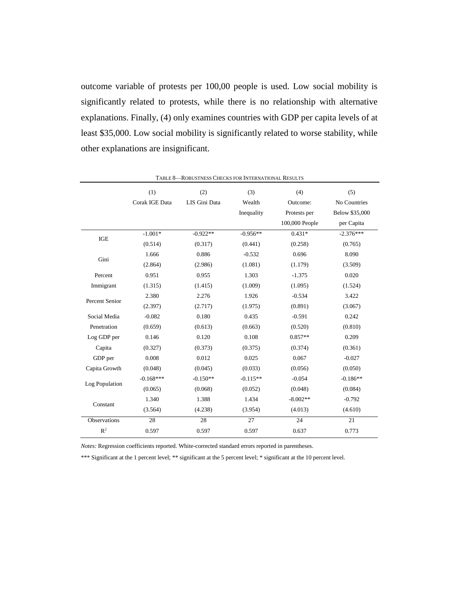outcome variable of protests per 100,00 people is used. Low social mobility is significantly related to protests, while there is no relationship with alternative explanations. Finally, (4) only examines countries with GDP per capita levels of at least \$35,000. Low social mobility is significantly related to worse stability, while other explanations are insignificant.

| TABLE 8-ROBUSTNESS CHECKS FOR INTERNATIONAL RESULTS |                |               |            |                |                |
|-----------------------------------------------------|----------------|---------------|------------|----------------|----------------|
|                                                     | (1)            | (2)           | (3)        | (4)            | (5)            |
|                                                     | Corak IGE Data | LIS Gini Data | Wealth     | Outcome:       | No Countries   |
|                                                     |                |               | Inequality | Protests per   | Below \$35,000 |
|                                                     |                |               |            | 100,000 People | per Capita     |
|                                                     | $-1.001*$      | $-0.922**$    | $-0.956**$ | $0.431*$       | $-2.376***$    |
| $\rm IGE$                                           | (0.514)        | (0.317)       | (0.441)    | (0.258)        | (0.765)        |
|                                                     | 1.666          | 0.886         | $-0.532$   | 0.696          | 8.090          |
| Gini                                                | (2.864)        | (2.986)       | (1.081)    | (1.179)        | (3.509)        |
| Percent                                             | 0.951          | 0.955         | 1.303      | $-1.375$       | 0.020          |
| Immigrant                                           | (1.315)        | (1.415)       | (1.009)    | (1.095)        | (1.524)        |
|                                                     | 2.380          | 2.276         | 1.926      | $-0.534$       | 3.422          |
| Percent Senior                                      | (2.397)        | (2.717)       | (1.975)    | (0.891)        | (3.067)        |
| Social Media                                        | $-0.082$       | 0.180         | 0.435      | $-0.591$       | 0.242          |
| Penetration                                         | (0.659)        | (0.613)       | (0.663)    | (0.520)        | (0.810)        |
| Log GDP per                                         | 0.146          | 0.120         | 0.108      | $0.857**$      | 0.209          |
| Capita                                              | (0.327)        | (0.373)       | (0.375)    | (0.374)        | (0.361)        |
| GDP per                                             | 0.008          | 0.012         | 0.025      | 0.067          | $-0.027$       |
| Capita Growth                                       | (0.048)        | (0.045)       | (0.033)    | (0.056)        | (0.050)        |
|                                                     | $-0.168***$    | $-0.150**$    | $-0.115**$ | $-0.054$       | $-0.186**$     |
| Log Population                                      | (0.065)        | (0.068)       | (0.052)    | (0.048)        | (0.084)        |
|                                                     | 1.340          | 1.388         | 1.434      | $-8.002**$     | $-0.792$       |
| Constant                                            | (3.564)        | (4.238)       | (3.954)    | (4.013)        | (4.610)        |
| Observations                                        | 28             | 28            | 27         | 24             | 21             |
| $R^2$                                               | 0.597          | 0.597         | 0.597      | 0.637          | 0.773          |

*Notes:* Regression coefficients reported. White-corrected standard errors reported in parentheses.

\*\*\* Significant at the 1 percent level; \*\* significant at the 5 percent level; \* significant at the 10 percent level.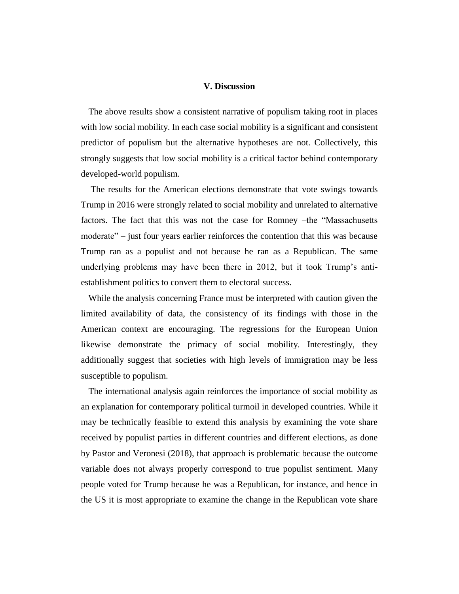#### **V. Discussion**

The above results show a consistent narrative of populism taking root in places with low social mobility. In each case social mobility is a significant and consistent predictor of populism but the alternative hypotheses are not. Collectively, this strongly suggests that low social mobility is a critical factor behind contemporary developed-world populism.

The results for the American elections demonstrate that vote swings towards Trump in 2016 were strongly related to social mobility and unrelated to alternative factors. The fact that this was not the case for Romney –the "Massachusetts moderate" – just four years earlier reinforces the contention that this was because Trump ran as a populist and not because he ran as a Republican. The same underlying problems may have been there in 2012, but it took Trump's antiestablishment politics to convert them to electoral success.

While the analysis concerning France must be interpreted with caution given the limited availability of data, the consistency of its findings with those in the American context are encouraging. The regressions for the European Union likewise demonstrate the primacy of social mobility. Interestingly, they additionally suggest that societies with high levels of immigration may be less susceptible to populism.

The international analysis again reinforces the importance of social mobility as an explanation for contemporary political turmoil in developed countries. While it may be technically feasible to extend this analysis by examining the vote share received by populist parties in different countries and different elections, as done by Pastor and Veronesi (2018), that approach is problematic because the outcome variable does not always properly correspond to true populist sentiment. Many people voted for Trump because he was a Republican, for instance, and hence in the US it is most appropriate to examine the change in the Republican vote share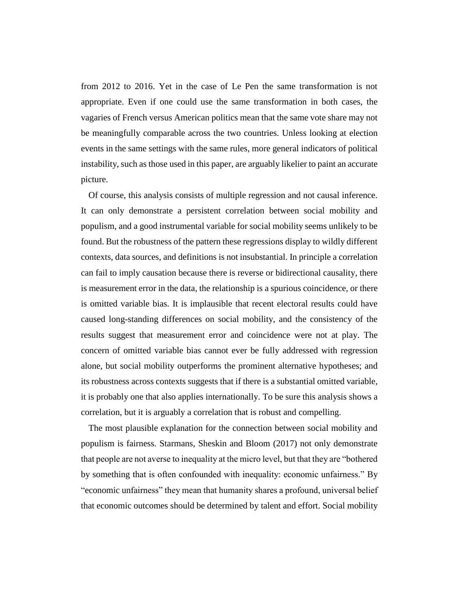from 2012 to 2016. Yet in the case of Le Pen the same transformation is not appropriate. Even if one could use the same transformation in both cases, the vagaries of French versus American politics mean that the same vote share may not be meaningfully comparable across the two countries. Unless looking at election events in the same settings with the same rules, more general indicators of political instability, such as those used in this paper, are arguably likelier to paint an accurate picture.

Of course, this analysis consists of multiple regression and not causal inference. It can only demonstrate a persistent correlation between social mobility and populism, and a good instrumental variable for social mobility seems unlikely to be found. But the robustness of the pattern these regressions display to wildly different contexts, data sources, and definitions is not insubstantial. In principle a correlation can fail to imply causation because there is reverse or bidirectional causality, there is measurement error in the data, the relationship is a spurious coincidence, or there is omitted variable bias. It is implausible that recent electoral results could have caused long-standing differences on social mobility, and the consistency of the results suggest that measurement error and coincidence were not at play. The concern of omitted variable bias cannot ever be fully addressed with regression alone, but social mobility outperforms the prominent alternative hypotheses; and its robustness across contexts suggests that if there is a substantial omitted variable, it is probably one that also applies internationally. To be sure this analysis shows a correlation, but it is arguably a correlation that is robust and compelling.

The most plausible explanation for the connection between social mobility and populism is fairness. Starmans, Sheskin and Bloom (2017) not only demonstrate that people are not averse to inequality at the micro level, but that they are "bothered by something that is often confounded with inequality: economic unfairness." By "economic unfairness" they mean that humanity shares a profound, universal belief that economic outcomes should be determined by talent and effort. Social mobility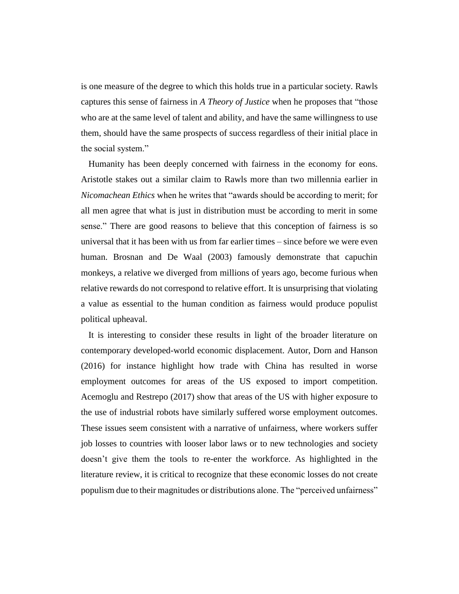is one measure of the degree to which this holds true in a particular society. Rawls captures this sense of fairness in *A Theory of Justice* when he proposes that "those who are at the same level of talent and ability, and have the same willingness to use them, should have the same prospects of success regardless of their initial place in the social system."

Humanity has been deeply concerned with fairness in the economy for eons. Aristotle stakes out a similar claim to Rawls more than two millennia earlier in *Nicomachean Ethics* when he writes that "awards should be according to merit; for all men agree that what is just in distribution must be according to merit in some sense." There are good reasons to believe that this conception of fairness is so universal that it has been with us from far earlier times – since before we were even human. Brosnan and De Waal (2003) famously demonstrate that capuchin monkeys, a relative we diverged from millions of years ago, become furious when relative rewards do not correspond to relative effort. It is unsurprising that violating a value as essential to the human condition as fairness would produce populist political upheaval.

It is interesting to consider these results in light of the broader literature on contemporary developed-world economic displacement. Autor, Dorn and Hanson (2016) for instance highlight how trade with China has resulted in worse employment outcomes for areas of the US exposed to import competition. Acemoglu and Restrepo (2017) show that areas of the US with higher exposure to the use of industrial robots have similarly suffered worse employment outcomes. These issues seem consistent with a narrative of unfairness, where workers suffer job losses to countries with looser labor laws or to new technologies and society doesn't give them the tools to re-enter the workforce. As highlighted in the literature review, it is critical to recognize that these economic losses do not create populism due to their magnitudes or distributions alone. The "perceived unfairness"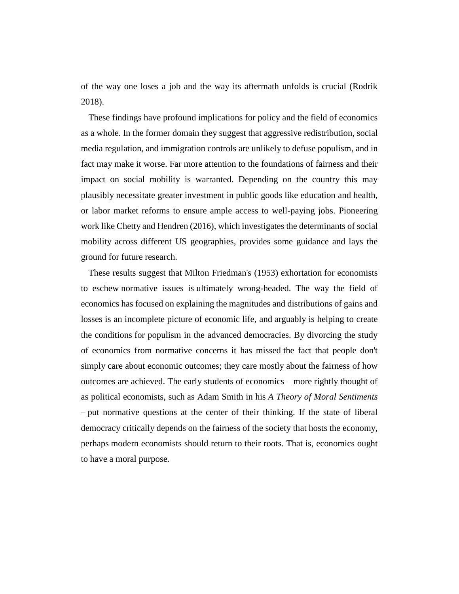of the way one loses a job and the way its aftermath unfolds is crucial (Rodrik 2018).

These findings have profound implications for policy and the field of economics as a whole. In the former domain they suggest that aggressive redistribution, social media regulation, and immigration controls are unlikely to defuse populism, and in fact may make it worse. Far more attention to the foundations of fairness and their impact on social mobility is warranted. Depending on the country this may plausibly necessitate greater investment in public goods like education and health, or labor market reforms to ensure ample access to well-paying jobs. Pioneering work like Chetty and Hendren (2016), which investigates the determinants of social mobility across different US geographies, provides some guidance and lays the ground for future research.

These results suggest that Milton Friedman's (1953) exhortation for economists to eschew normative issues is ultimately wrong-headed. The way the field of economics has focused on explaining the magnitudes and distributions of gains and losses is an incomplete picture of economic life, and arguably is helping to create the conditions for populism in the advanced democracies. By divorcing the study of economics from normative concerns it has missed the fact that people don't simply care about economic outcomes; they care mostly about the fairness of how outcomes are achieved. The early students of economics – more rightly thought of as political economists, such as Adam Smith in his *A Theory of Moral Sentiments* – put normative questions at the center of their thinking. If the state of liberal democracy critically depends on the fairness of the society that hosts the economy, perhaps modern economists should return to their roots. That is, economics ought to have a moral purpose.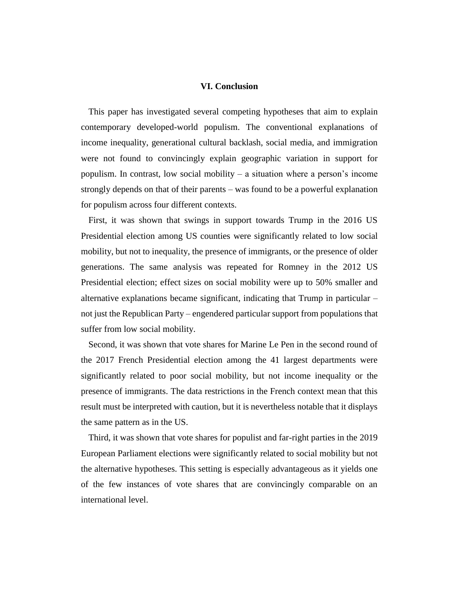#### **VI. Conclusion**

This paper has investigated several competing hypotheses that aim to explain contemporary developed-world populism. The conventional explanations of income inequality, generational cultural backlash, social media, and immigration were not found to convincingly explain geographic variation in support for populism. In contrast, low social mobility – a situation where a person's income strongly depends on that of their parents – was found to be a powerful explanation for populism across four different contexts.

First, it was shown that swings in support towards Trump in the 2016 US Presidential election among US counties were significantly related to low social mobility, but not to inequality, the presence of immigrants, or the presence of older generations. The same analysis was repeated for Romney in the 2012 US Presidential election; effect sizes on social mobility were up to 50% smaller and alternative explanations became significant, indicating that Trump in particular – not just the Republican Party – engendered particular support from populations that suffer from low social mobility.

Second, it was shown that vote shares for Marine Le Pen in the second round of the 2017 French Presidential election among the 41 largest departments were significantly related to poor social mobility, but not income inequality or the presence of immigrants. The data restrictions in the French context mean that this result must be interpreted with caution, but it is nevertheless notable that it displays the same pattern as in the US.

Third, it was shown that vote shares for populist and far-right parties in the 2019 European Parliament elections were significantly related to social mobility but not the alternative hypotheses. This setting is especially advantageous as it yields one of the few instances of vote shares that are convincingly comparable on an international level.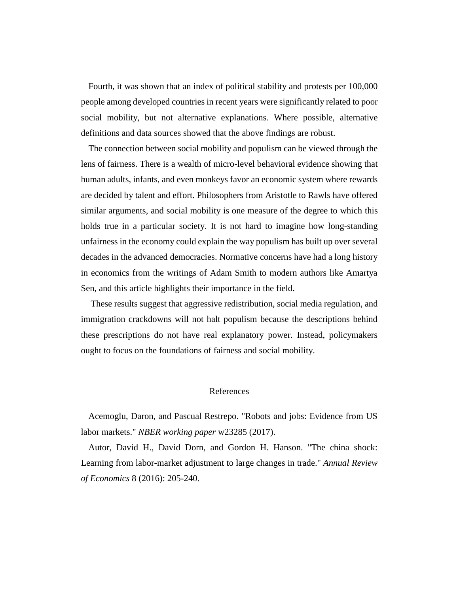Fourth, it was shown that an index of political stability and protests per 100,000 people among developed countries in recent years were significantly related to poor social mobility, but not alternative explanations. Where possible, alternative definitions and data sources showed that the above findings are robust.

The connection between social mobility and populism can be viewed through the lens of fairness. There is a wealth of micro-level behavioral evidence showing that human adults, infants, and even monkeys favor an economic system where rewards are decided by talent and effort. Philosophers from Aristotle to Rawls have offered similar arguments, and social mobility is one measure of the degree to which this holds true in a particular society. It is not hard to imagine how long-standing unfairness in the economy could explain the way populism has built up over several decades in the advanced democracies. Normative concerns have had a long history in economics from the writings of Adam Smith to modern authors like Amartya Sen, and this article highlights their importance in the field.

These results suggest that aggressive redistribution, social media regulation, and immigration crackdowns will not halt populism because the descriptions behind these prescriptions do not have real explanatory power. Instead, policymakers ought to focus on the foundations of fairness and social mobility.

#### References

Acemoglu, Daron, and Pascual Restrepo. "Robots and jobs: Evidence from US labor markets." *NBER working paper* w23285 (2017).

Autor, David H., David Dorn, and Gordon H. Hanson. "The china shock: Learning from labor-market adjustment to large changes in trade." *Annual Review of Economics* 8 (2016): 205-240.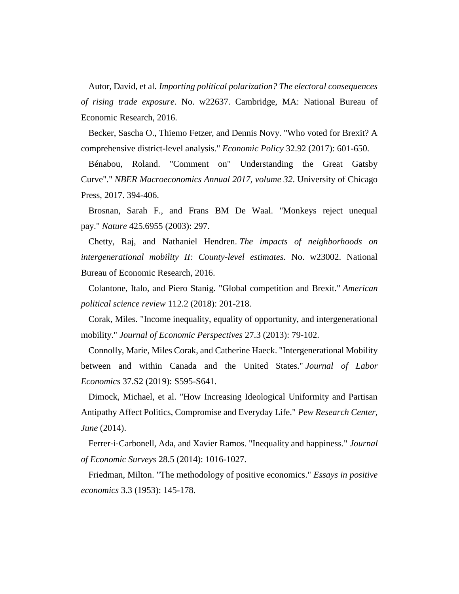Autor, David, et al. *Importing political polarization? The electoral consequences of rising trade exposure*. No. w22637. Cambridge, MA: National Bureau of Economic Research, 2016.

Becker, Sascha O., Thiemo Fetzer, and Dennis Novy. "Who voted for Brexit? A comprehensive district-level analysis." *Economic Policy* 32.92 (2017): 601-650.

Bénabou, Roland. "Comment on" Understanding the Great Gatsby Curve"." *NBER Macroeconomics Annual 2017, volume 32*. University of Chicago Press, 2017. 394-406.

Brosnan, Sarah F., and Frans BM De Waal. "Monkeys reject unequal pay." *Nature* 425.6955 (2003): 297.

Chetty, Raj, and Nathaniel Hendren. *The impacts of neighborhoods on intergenerational mobility II: County-level estimates*. No. w23002. National Bureau of Economic Research, 2016.

Colantone, Italo, and Piero Stanig. "Global competition and Brexit." *American political science review* 112.2 (2018): 201-218.

Corak, Miles. "Income inequality, equality of opportunity, and intergenerational mobility." *Journal of Economic Perspectives* 27.3 (2013): 79-102.

Connolly, Marie, Miles Corak, and Catherine Haeck. "Intergenerational Mobility between and within Canada and the United States." *Journal of Labor Economics* 37.S2 (2019): S595-S641.

Dimock, Michael, et al. "How Increasing Ideological Uniformity and Partisan Antipathy Affect Politics, Compromise and Everyday Life." *Pew Research Center, June* (2014).

Ferrer‐i‐Carbonell, Ada, and Xavier Ramos. "Inequality and happiness." *Journal of Economic Surveys* 28.5 (2014): 1016-1027.

Friedman, Milton. "The methodology of positive economics." *Essays in positive economics* 3.3 (1953): 145-178.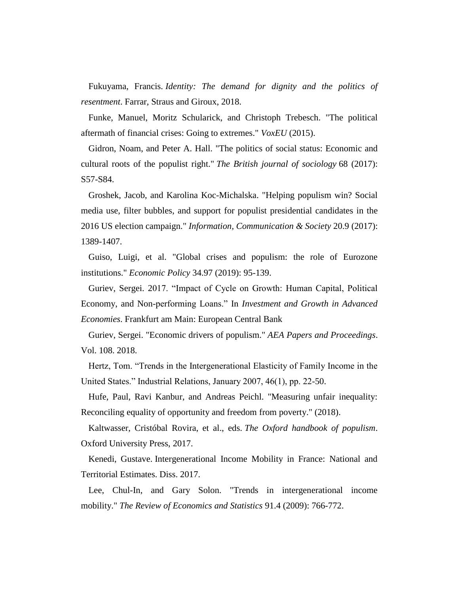Fukuyama, Francis. *Identity: The demand for dignity and the politics of resentment*. Farrar, Straus and Giroux, 2018.

Funke, Manuel, Moritz Schularick, and Christoph Trebesch. "The political aftermath of financial crises: Going to extremes." *VoxEU* (2015).

Gidron, Noam, and Peter A. Hall. "The politics of social status: Economic and cultural roots of the populist right." *The British journal of sociology* 68 (2017): S57-S84.

Groshek, Jacob, and Karolina Koc-Michalska. "Helping populism win? Social media use, filter bubbles, and support for populist presidential candidates in the 2016 US election campaign." *Information, Communication & Society* 20.9 (2017): 1389-1407.

Guiso, Luigi, et al. "Global crises and populism: the role of Eurozone institutions." *Economic Policy* 34.97 (2019): 95-139.

Guriev, Sergei. 2017. "Impact of Cycle on Growth: Human Capital, Political Economy, and Non-performing Loans." In *Investment and Growth in Advanced Economies*. Frankfurt am Main: European Central Bank

Guriev, Sergei. "Economic drivers of populism." *AEA Papers and Proceedings*. Vol. 108. 2018.

Hertz, Tom. "Trends in the Intergenerational Elasticity of Family Income in the United States." Industrial Relations, January 2007, 46(1), pp. 22-50.

Hufe, Paul, Ravi Kanbur, and Andreas Peichl. "Measuring unfair inequality: Reconciling equality of opportunity and freedom from poverty." (2018).

Kaltwasser, Cristóbal Rovira, et al., eds. *The Oxford handbook of populism*. Oxford University Press, 2017.

Kenedi, Gustave. Intergenerational Income Mobility in France: National and Territorial Estimates. Diss. 2017.

Lee, Chul-In, and Gary Solon. "Trends in intergenerational income mobility." *The Review of Economics and Statistics* 91.4 (2009): 766-772.